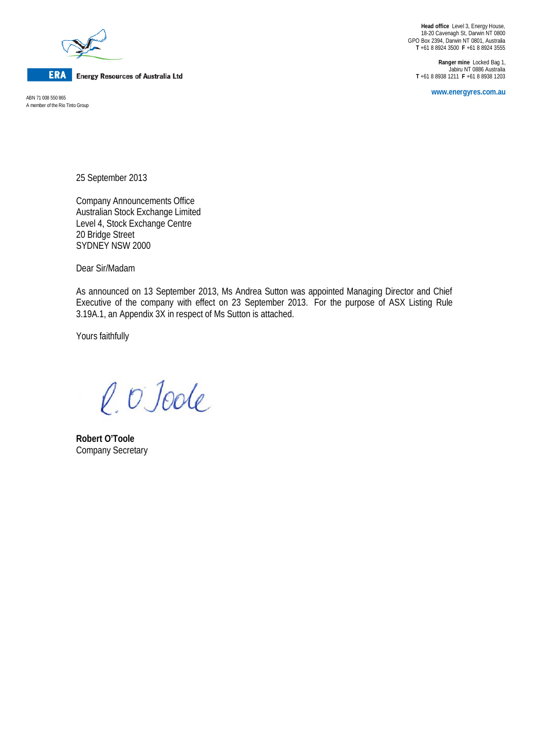

**ERA** Energy Resources of Australia Ltd

A member of the Rio Tinto Group

**Head office** Level 3, Energy House, 18-20 Cavenagh St, Darwin NT 0800 GPO Box 2394, Darwin NT 0801, Australia **T** +61 8 8924 3500 **F** +61 8 8924 3555

**Ranger mine** Locked Bag 1, Jabiru NT 0886 Australia **T** +61 8 8938 1211 **F** +61 8 8938 1203

**www.energyres.com.au** ABN 71 008 550 865

25 September 2013

Company Announcements Office Australian Stock Exchange Limited Level 4, Stock Exchange Centre 20 Bridge Street SYDNEY NSW 2000

Dear Sir/Madam

As announced on 13 September 2013, Ms Andrea Sutton was appointed Managing Director and Chief Executive of the company with effect on 23 September 2013. For the purpose of ASX Listing Rule 3.19A.1, an Appendix 3X in respect of Ms Sutton is attached.

Yours faithfully

l. O'Joole

**Robert O'Toole** Company Secretary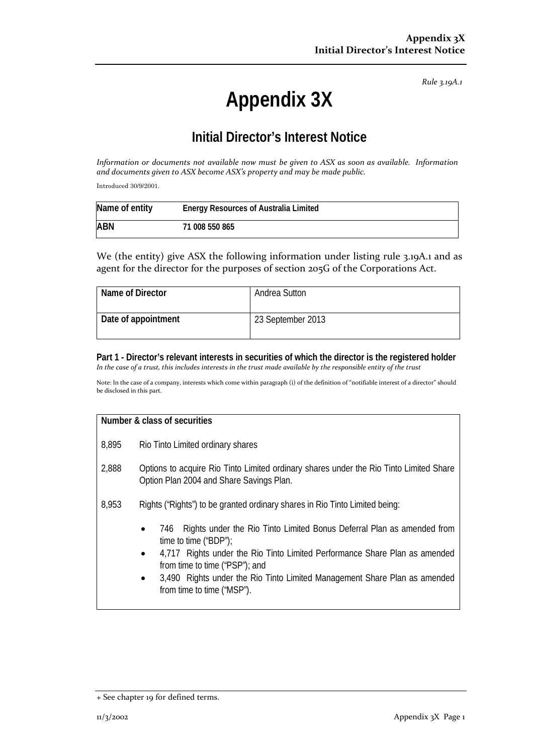*Rule 3.19A.1*

## **Appendix 3X**

## **Initial Director's Interest Notice**

*Information or documents not available now must be given to ASX as soon as available. Information and documents given to ASX become ASX's property and may be made public.*

Introduced 30/9/2001.

| Name of entity | <b>Energy Resources of Australia Limited</b> |
|----------------|----------------------------------------------|
| <b>ABN</b>     | 71 008 550 865                               |

We (the entity) give ASX the following information under listing rule 3.19A.1 and as agent for the director for the purposes of section 205G of the Corporations Act.

| Name of Director    | Andrea Sutton     |
|---------------------|-------------------|
| Date of appointment | 23 September 2013 |

**Part 1 - Director's relevant interests in securities of which the director is the registered holder** *In the case of a trust, this includes interests in the trust made available by the responsible entity of the trust*

Note: In the case of a company, interests which come within paragraph (i) of the definition of "notifiable interest of a director" should be disclosed in this part.

| Number & class of securities |                                                                                                                                                                                                                                                                                                                                                                          |  |
|------------------------------|--------------------------------------------------------------------------------------------------------------------------------------------------------------------------------------------------------------------------------------------------------------------------------------------------------------------------------------------------------------------------|--|
| 8,895                        | Rio Tinto Limited ordinary shares                                                                                                                                                                                                                                                                                                                                        |  |
| 2,888                        | Options to acquire Rio Tinto Limited ordinary shares under the Rio Tinto Limited Share<br>Option Plan 2004 and Share Savings Plan.                                                                                                                                                                                                                                       |  |
| 8,953                        | Rights ("Rights") to be granted ordinary shares in Rio Tinto Limited being:                                                                                                                                                                                                                                                                                              |  |
|                              | Rights under the Rio Tinto Limited Bonus Deferral Plan as amended from<br>746<br>$\bullet$<br>time to time ("BDP");<br>4,717 Rights under the Rio Tinto Limited Performance Share Plan as amended<br>$\bullet$<br>from time to time ("PSP"); and<br>3,490 Rights under the Rio Tinto Limited Management Share Plan as amended<br>$\bullet$<br>from time to time ("MSP"). |  |

<sup>+</sup> See chapter 19 for defined terms.